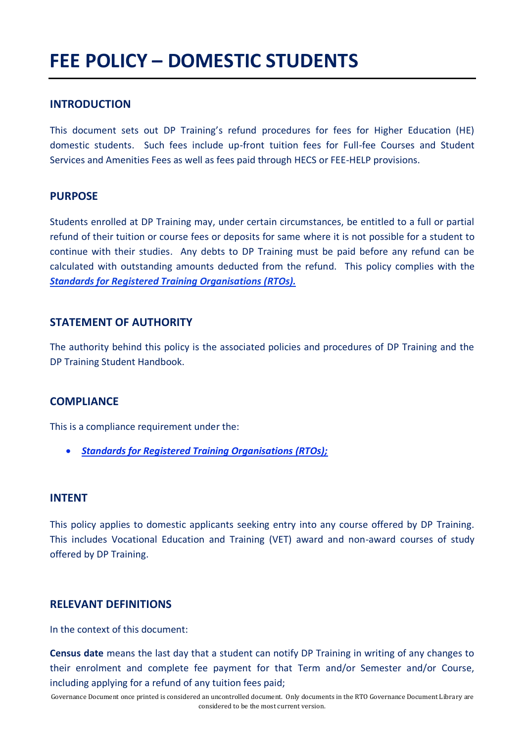# **FEE POLICY – DOMESTIC STUDENTS**

## **INTRODUCTION**

This document sets out DP Training's refund procedures for fees for Higher Education (HE) domestic students. Such fees include up-front tuition fees for Full-fee Courses and Student Services and Amenities Fees as well as fees paid through HECS or FEE-HELP provisions.

## **PURPOSE**

Students enrolled at DP Training may, under certain circumstances, be entitled to a full or partial refund of their tuition or course fees or deposits for same where it is not possible for a student to continue with their studies. Any debts to DP Training must be paid before any refund can be calculated with outstanding amounts deducted from the refund. This policy complies with the *Standards for Registered Training Organisations (RTOs).*

## **STATEMENT OF AUTHORITY**

The authority behind this policy is the associated policies and procedures of DP Training and the DP Training Student Handbook.

## **COMPLIANCE**

This is a compliance requirement under the:

• *Standards for Registered Training Organisations (RTOs);*

#### **INTENT**

This policy applies to domestic applicants seeking entry into any course offered by DP Training. This includes Vocational Education and Training (VET) award and non-award courses of study offered by DP Training.

## **RELEVANT DEFINITIONS**

In the context of this document:

**Census date** means the last day that a student can notify DP Training in writing of any changes to their enrolment and complete fee payment for that Term and/or Semester and/or Course, including applying for a refund of any tuition fees paid;

Governance Document once printed is considered an uncontrolled document. Only documents in the RTO Governance Document Library are considered to be the most current version.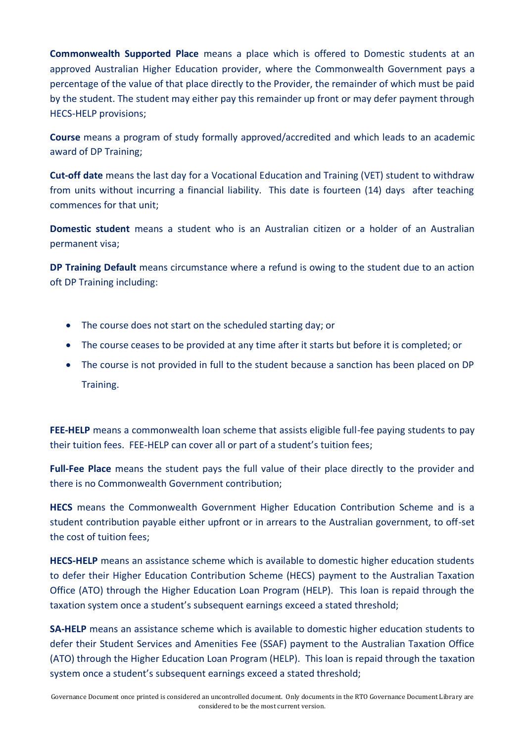**Commonwealth Supported Place** means a place which is offered to Domestic students at an approved Australian Higher Education provider, where the Commonwealth Government pays a percentage of the value of that place directly to the Provider, the remainder of which must be paid by the student. The student may either pay this remainder up front or may defer payment through HECS-HELP provisions;

**Course** means a program of study formally approved/accredited and which leads to an academic award of DP Training;

**Cut-off date** means the last day for a Vocational Education and Training (VET) student to withdraw from units without incurring a financial liability. This date is fourteen (14) days after teaching commences for that unit;

**Domestic student** means a student who is an Australian citizen or a holder of an Australian permanent visa;

**DP Training Default** means circumstance where a refund is owing to the student due to an action oft DP Training including:

- The course does not start on the scheduled starting day; or
- The course ceases to be provided at any time after it starts but before it is completed; or
- The course is not provided in full to the student because a sanction has been placed on DP Training.

**FEE-HELP** means a commonwealth loan scheme that assists eligible full-fee paying students to pay their tuition fees. FEE-HELP can cover all or part of a student's tuition fees;

**Full-Fee Place** means the student pays the full value of their place directly to the provider and there is no Commonwealth Government contribution;

**HECS** means the Commonwealth Government Higher Education Contribution Scheme and is a student contribution payable either upfront or in arrears to the Australian government, to off-set the cost of tuition fees;

**HECS-HELP** means an assistance scheme which is available to domestic higher education students to defer their Higher Education Contribution Scheme (HECS) payment to the Australian Taxation Office (ATO) through the Higher Education Loan Program (HELP). This loan is repaid through the taxation system once a student's subsequent earnings exceed a stated threshold;

**SA-HELP** means an assistance scheme which is available to domestic higher education students to defer their Student Services and Amenities Fee (SSAF) payment to the Australian Taxation Office (ATO) through the Higher Education Loan Program (HELP). This loan is repaid through the taxation system once a student's subsequent earnings exceed a stated threshold;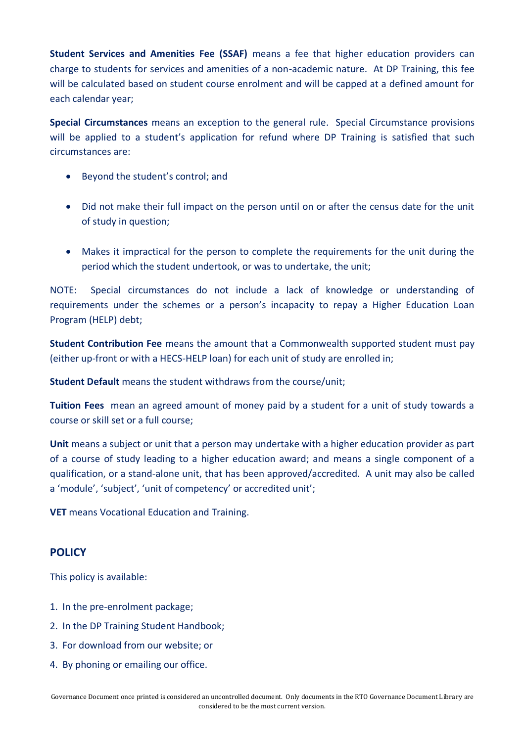**Student Services and Amenities Fee (SSAF)** means a fee that higher education providers can charge to students for services and amenities of a non-academic nature. At DP Training, this fee will be calculated based on student course enrolment and will be capped at a defined amount for each calendar year;

**Special Circumstances** means an exception to the general rule. Special Circumstance provisions will be applied to a student's application for refund where DP Training is satisfied that such circumstances are:

- Beyond the student's control; and
- Did not make their full impact on the person until on or after the census date for the unit of study in question;
- Makes it impractical for the person to complete the requirements for the unit during the period which the student undertook, or was to undertake, the unit;

NOTE: Special circumstances do not include a lack of knowledge or understanding of requirements under the schemes or a person's incapacity to repay a Higher Education Loan Program (HELP) debt;

**Student Contribution Fee** means the amount that a Commonwealth supported student must pay (either up-front or with a HECS-HELP loan) for each unit of study are enrolled in;

**Student Default** means the student withdraws from the course/unit;

**Tuition Fees** mean an agreed amount of money paid by a student for a unit of study towards a course or skill set or a full course;

**Unit** means a subject or unit that a person may undertake with a higher education provider as part of a course of study leading to a higher education award; and means a single component of a qualification, or a stand-alone unit, that has been approved/accredited. A unit may also be called a 'module', 'subject', 'unit of competency' or accredited unit';

**VET** means Vocational Education and Training.

# **POLICY**

This policy is available:

- 1. In the pre-enrolment package;
- 2. In the DP Training Student Handbook;
- 3. For download from our website; or
- 4. By phoning or emailing our office.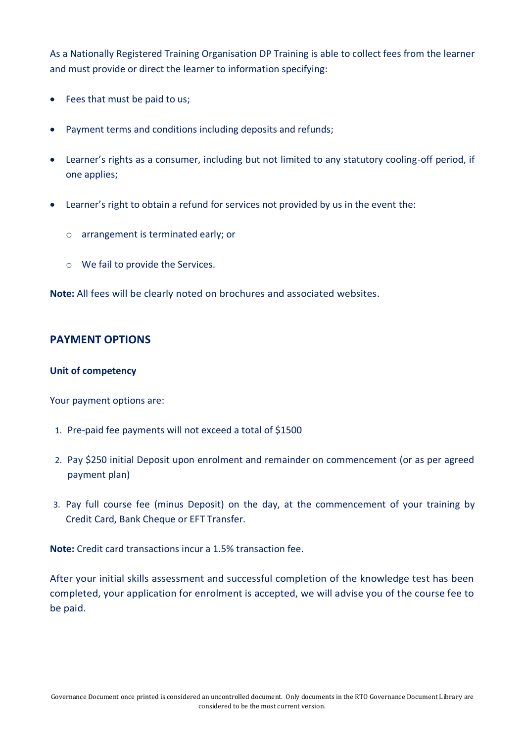As a Nationally Registered Training Organisation DP Training is able to collect fees from the learner and must provide or direct the learner to information specifying:

- Fees that must be paid to us;
- Payment terms and conditions including deposits and refunds;
- Learner's rights as a consumer, including but not limited to any statutory cooling-off period, if one applies;
- Learner's right to obtain a refund for services not provided by us in the event the:
	- o arrangement is terminated early; or
	- o We fail to provide the Services.

**Note:** All fees will be clearly noted on brochures and associated websites.

## **PAYMENT OPTIONS**

#### **Unit of competency**

Your payment options are:

- 1. Pre-paid fee payments will not exceed a total of \$1500
- 2. Pay \$250 initial Deposit upon enrolment and remainder on commencement (or as per agreed payment plan)
- 3. Pay full course fee (minus Deposit) on the day, at the commencement of your training by Credit Card, Bank Cheque or EFT Transfer.

**Note:** Credit card transactions incur a 1.5% transaction fee.

After your initial skills assessment and successful completion of the knowledge test has been completed, your application for enrolment is accepted, we will advise you of the course fee to be paid.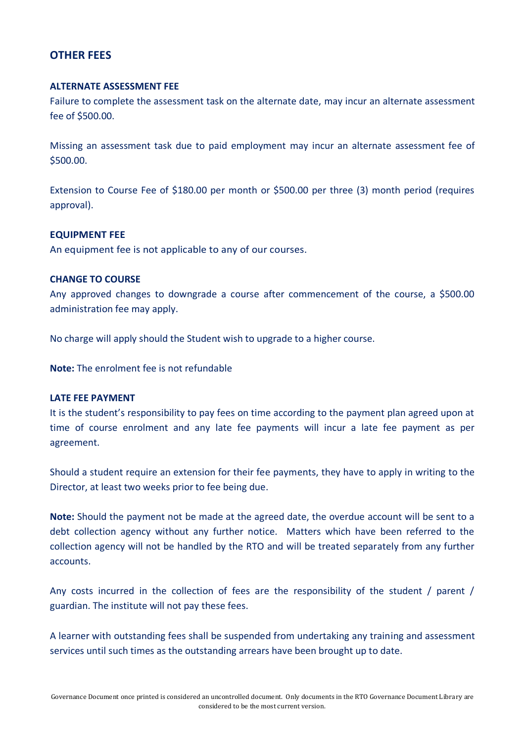## **OTHER FEES**

#### **ALTERNATE ASSESSMENT FEE**

Failure to complete the assessment task on the alternate date, may incur an alternate assessment fee of \$500.00.

Missing an assessment task due to paid employment may incur an alternate assessment fee of \$500.00.

Extension to Course Fee of \$180.00 per month or \$500.00 per three (3) month period (requires approval).

#### **EQUIPMENT FEE**

An equipment fee is not applicable to any of our courses.

#### **CHANGE TO COURSE**

Any approved changes to downgrade a course after commencement of the course, a \$500.00 administration fee may apply.

No charge will apply should the Student wish to upgrade to a higher course.

**Note:** The enrolment fee is not refundable

#### **LATE FEE PAYMENT**

It is the student's responsibility to pay fees on time according to the payment plan agreed upon at time of course enrolment and any late fee payments will incur a late fee payment as per agreement.

Should a student require an extension for their fee payments, they have to apply in writing to the Director, at least two weeks prior to fee being due.

**Note:** Should the payment not be made at the agreed date, the overdue account will be sent to a debt collection agency without any further notice. Matters which have been referred to the collection agency will not be handled by the RTO and will be treated separately from any further accounts.

Any costs incurred in the collection of fees are the responsibility of the student / parent / guardian. The institute will not pay these fees.

A learner with outstanding fees shall be suspended from undertaking any training and assessment services until such times as the outstanding arrears have been brought up to date.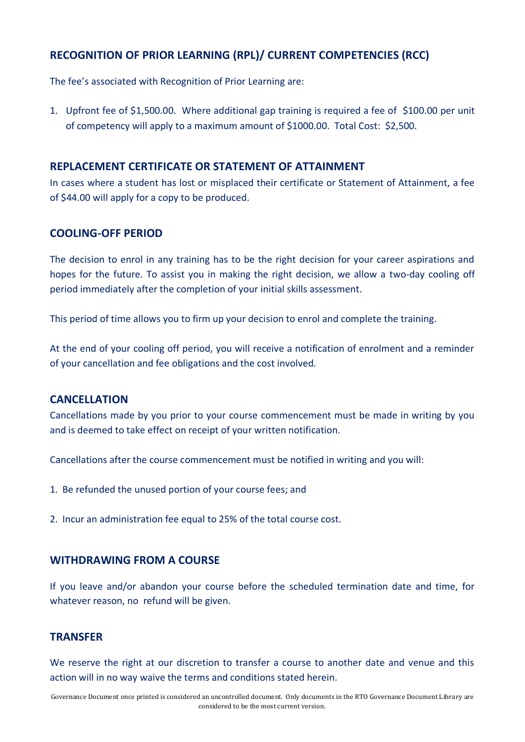# **RECOGNITION OF PRIOR LEARNING (RPL)/ CURRENT COMPETENCIES (RCC)**

The fee's associated with Recognition of Prior Learning are:

1. Upfront fee of \$1,500.00. Where additional gap training is required a fee of \$100.00 per unit of competency will apply to a maximum amount of \$1000.00. Total Cost: \$2,500.

## **REPLACEMENT CERTIFICATE OR STATEMENT OF ATTAINMENT**

In cases where a student has lost or misplaced their certificate or Statement of Attainment, a fee of \$44.00 will apply for a copy to be produced.

## **COOLING-OFF PERIOD**

The decision to enrol in any training has to be the right decision for your career aspirations and hopes for the future. To assist you in making the right decision, we allow a two-day cooling off period immediately after the completion of your initial skills assessment.

This period of time allows you to firm up your decision to enrol and complete the training.

At the end of your cooling off period, you will receive a notification of enrolment and a reminder of your cancellation and fee obligations and the cost involved.

## **CANCELLATION**

Cancellations made by you prior to your course commencement must be made in writing by you and is deemed to take effect on receipt of your written notification.

Cancellations after the course commencement must be notified in writing and you will:

- 1. Be refunded the unused portion of your course fees; and
- 2. Incur an administration fee equal to 25% of the total course cost.

## **WITHDRAWING FROM A COURSE**

If you leave and/or abandon your course before the scheduled termination date and time, for whatever reason, no refund will be given.

## **TRANSFER**

We reserve the right at our discretion to transfer a course to another date and venue and this action will in no way waive the terms and conditions stated herein.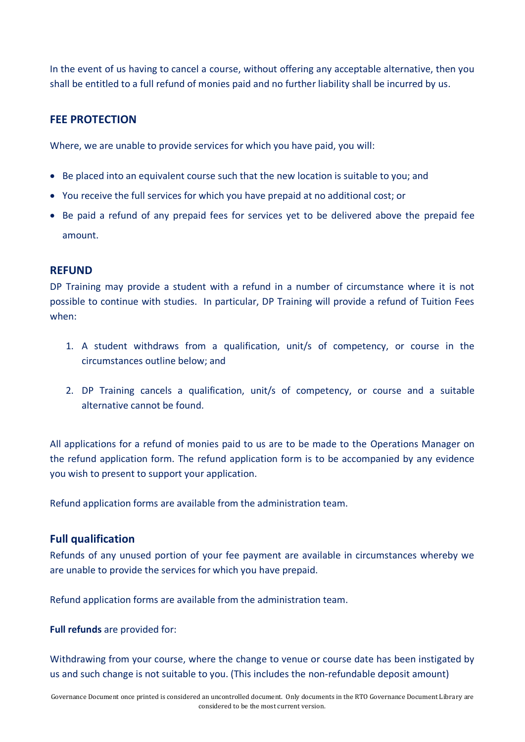In the event of us having to cancel a course, without offering any acceptable alternative, then you shall be entitled to a full refund of monies paid and no further liability shall be incurred by us.

# **FEE PROTECTION**

Where, we are unable to provide services for which you have paid, you will:

- Be placed into an equivalent course such that the new location is suitable to you; and
- You receive the full services for which you have prepaid at no additional cost; or
- Be paid a refund of any prepaid fees for services yet to be delivered above the prepaid fee amount.

## **REFUND**

DP Training may provide a student with a refund in a number of circumstance where it is not possible to continue with studies. In particular, DP Training will provide a refund of Tuition Fees when:

- 1. A student withdraws from a qualification, unit/s of competency, or course in the circumstances outline below; and
- 2. DP Training cancels a qualification, unit/s of competency, or course and a suitable alternative cannot be found.

All applications for a refund of monies paid to us are to be made to the Operations Manager on the refund application form. The refund application form is to be accompanied by any evidence you wish to present to support your application.

Refund application forms are available from the administration team.

## **Full qualification**

Refunds of any unused portion of your fee payment are available in circumstances whereby we are unable to provide the services for which you have prepaid.

Refund application forms are available from the administration team.

## **Full refunds** are provided for:

Withdrawing from your course, where the change to venue or course date has been instigated by us and such change is not suitable to you. (This includes the non-refundable deposit amount)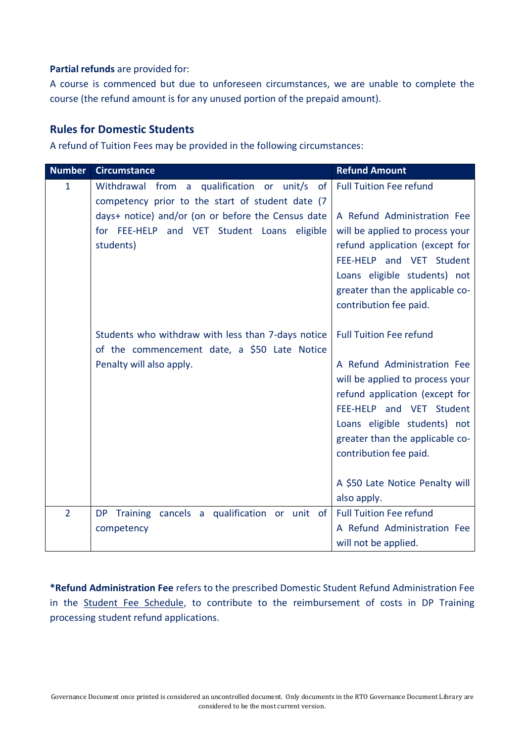## **Partial refunds** are provided for:

A course is commenced but due to unforeseen circumstances, we are unable to complete the course (the refund amount is for any unused portion of the prepaid amount).

# **Rules for Domestic Students**

A refund of Tuition Fees may be provided in the following circumstances:

| <b>Number</b>  | <b>Circumstance</b>                                                                                                                                          | <b>Refund Amount</b>                                                                                                                                                                                                      |
|----------------|--------------------------------------------------------------------------------------------------------------------------------------------------------------|---------------------------------------------------------------------------------------------------------------------------------------------------------------------------------------------------------------------------|
| $\mathbf{1}$   | Withdrawal from<br>a qualification or unit/s<br>of<br>competency prior to the start of student date (7<br>days+ notice) and/or (on or before the Census date | <b>Full Tuition Fee refund</b><br>A Refund Administration Fee                                                                                                                                                             |
|                | for FEE-HELP and VET Student Loans eligible<br>students)                                                                                                     | will be applied to process your<br>refund application (except for<br>FEE-HELP and VET Student<br>Loans eligible students) not<br>greater than the applicable co-<br>contribution fee paid.                                |
|                | Students who withdraw with less than 7-days notice<br>of the commencement date, a \$50 Late Notice                                                           | <b>Full Tuition Fee refund</b>                                                                                                                                                                                            |
|                | Penalty will also apply.                                                                                                                                     | A Refund Administration Fee<br>will be applied to process your<br>refund application (except for<br>FEE-HELP and VET Student<br>Loans eligible students) not<br>greater than the applicable co-<br>contribution fee paid. |
|                |                                                                                                                                                              | A \$50 Late Notice Penalty will<br>also apply.                                                                                                                                                                            |
| $\overline{2}$ | DP Training cancels a qualification or unit of                                                                                                               | <b>Full Tuition Fee refund</b>                                                                                                                                                                                            |
|                | competency                                                                                                                                                   | A Refund Administration Fee<br>will not be applied.                                                                                                                                                                       |

**\*Refund Administration Fee** refers to the prescribed Domestic Student Refund Administration Fee in the Student Fee Schedule, to contribute to the reimbursement of costs in DP Training processing student refund applications.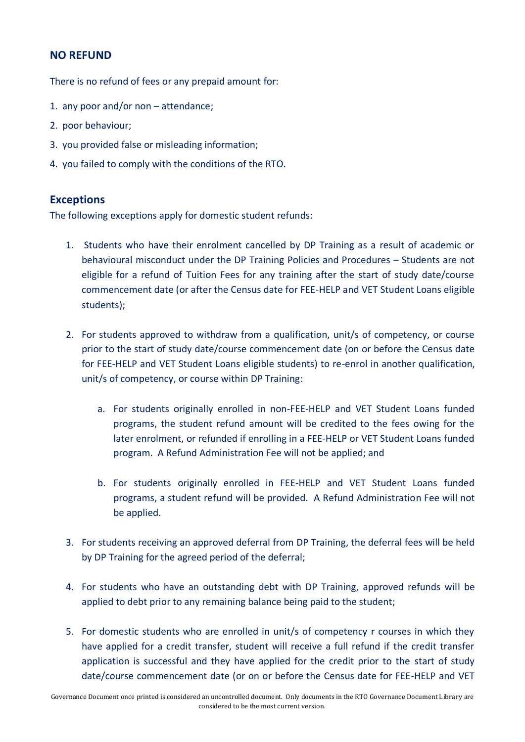# **NO REFUND**

There is no refund of fees or any prepaid amount for:

- 1. any poor and/or non attendance;
- 2. poor behaviour;
- 3. you provided false or misleading information;
- 4. you failed to comply with the conditions of the RTO.

## **Exceptions**

The following exceptions apply for domestic student refunds:

- 1. Students who have their enrolment cancelled by DP Training as a result of academic or behavioural misconduct under the DP Training Policies and Procedures – Students are not eligible for a refund of Tuition Fees for any training after the start of study date/course commencement date (or after the Census date for FEE-HELP and VET Student Loans eligible students);
- 2. For students approved to withdraw from a qualification, unit/s of competency, or course prior to the start of study date/course commencement date (on or before the Census date for FEE-HELP and VET Student Loans eligible students) to re-enrol in another qualification, unit/s of competency, or course within DP Training:
	- a. For students originally enrolled in non-FEE-HELP and VET Student Loans funded programs, the student refund amount will be credited to the fees owing for the later enrolment, or refunded if enrolling in a FEE-HELP or VET Student Loans funded program. A Refund Administration Fee will not be applied; and
	- b. For students originally enrolled in FEE-HELP and VET Student Loans funded programs, a student refund will be provided. A Refund Administration Fee will not be applied.
- 3. For students receiving an approved deferral from DP Training, the deferral fees will be held by DP Training for the agreed period of the deferral;
- 4. For students who have an outstanding debt with DP Training, approved refunds will be applied to debt prior to any remaining balance being paid to the student;
- 5. For domestic students who are enrolled in unit/s of competency r courses in which they have applied for a credit transfer, student will receive a full refund if the credit transfer application is successful and they have applied for the credit prior to the start of study date/course commencement date (or on or before the Census date for FEE-HELP and VET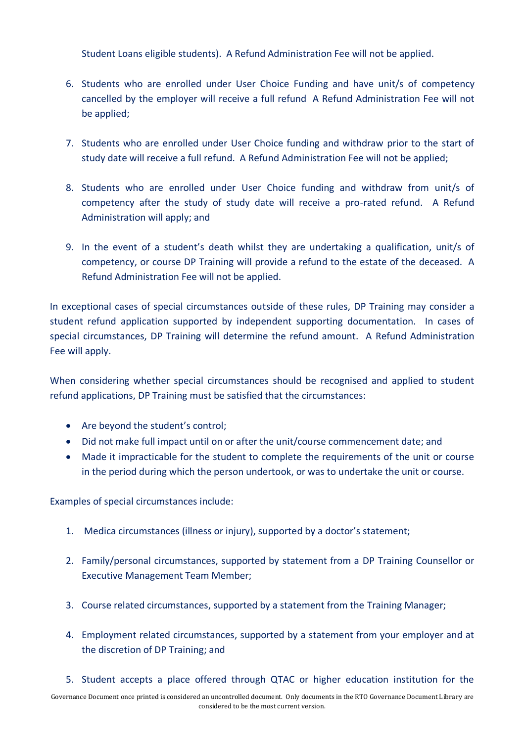Student Loans eligible students). A Refund Administration Fee will not be applied.

- 6. Students who are enrolled under User Choice Funding and have unit/s of competency cancelled by the employer will receive a full refund A Refund Administration Fee will not be applied;
- 7. Students who are enrolled under User Choice funding and withdraw prior to the start of study date will receive a full refund. A Refund Administration Fee will not be applied;
- 8. Students who are enrolled under User Choice funding and withdraw from unit/s of competency after the study of study date will receive a pro-rated refund. A Refund Administration will apply; and
- 9. In the event of a student's death whilst they are undertaking a qualification, unit/s of competency, or course DP Training will provide a refund to the estate of the deceased. A Refund Administration Fee will not be applied.

In exceptional cases of special circumstances outside of these rules, DP Training may consider a student refund application supported by independent supporting documentation. In cases of special circumstances, DP Training will determine the refund amount. A Refund Administration Fee will apply.

When considering whether special circumstances should be recognised and applied to student refund applications, DP Training must be satisfied that the circumstances:

- Are beyond the student's control;
- Did not make full impact until on or after the unit/course commencement date; and
- Made it impracticable for the student to complete the requirements of the unit or course in the period during which the person undertook, or was to undertake the unit or course.

Examples of special circumstances include:

- 1. Medica circumstances (illness or injury), supported by a doctor's statement;
- 2. Family/personal circumstances, supported by statement from a DP Training Counsellor or Executive Management Team Member;
- 3. Course related circumstances, supported by a statement from the Training Manager;
- 4. Employment related circumstances, supported by a statement from your employer and at the discretion of DP Training; and
- 5. Student accepts a place offered through QTAC or higher education institution for the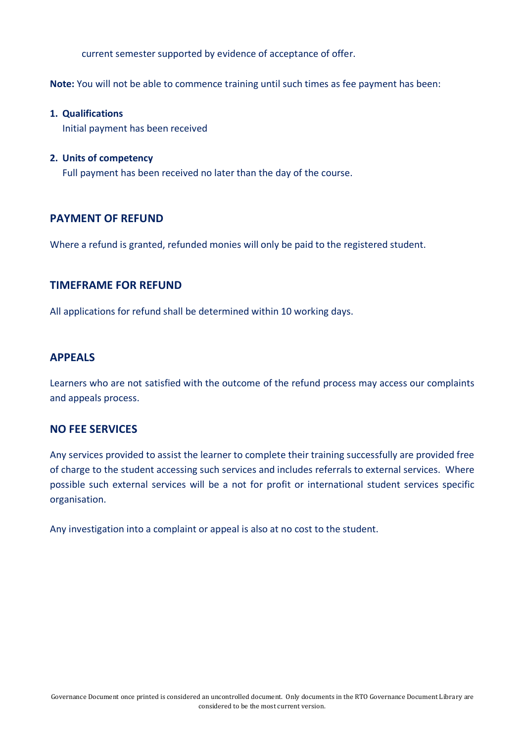current semester supported by evidence of acceptance of offer.

**Note:** You will not be able to commence training until such times as fee payment has been:

#### **1. Qualifications**

Initial payment has been received

#### **2. Units of competency**

Full payment has been received no later than the day of the course.

## **PAYMENT OF REFUND**

Where a refund is granted, refunded monies will only be paid to the registered student.

## **TIMEFRAME FOR REFUND**

All applications for refund shall be determined within 10 working days.

## **APPEALS**

Learners who are not satisfied with the outcome of the refund process may access our complaints and appeals process.

## **NO FEE SERVICES**

Any services provided to assist the learner to complete their training successfully are provided free of charge to the student accessing such services and includes referrals to external services. Where possible such external services will be a not for profit or international student services specific organisation.

Any investigation into a complaint or appeal is also at no cost to the student.